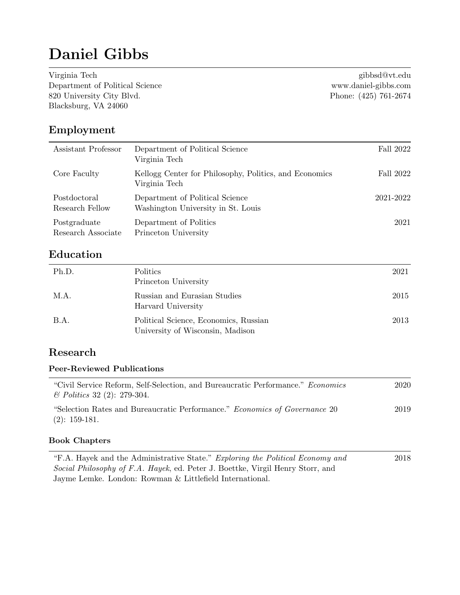# Daniel Gibbs

Virginia Tech [gibbsd@vt.edu](mailto:gibbsd@vt.edu) Department of Political Science<www.daniel-gibbs.com> 820 University City Blvd. Phone: (425) 761-2674 Blacksburg, VA 24060

### Employment

| Assistant Professor                | Department of Political Science<br>Virginia Tech                        | Fall 2022 |
|------------------------------------|-------------------------------------------------------------------------|-----------|
| Core Faculty                       | Kellogg Center for Philosophy, Politics, and Economics<br>Virginia Tech | Fall 2022 |
| Postdoctoral<br>Research Fellow    | Department of Political Science<br>Washington University in St. Louis   | 2021-2022 |
| Postgraduate<br>Research Associate | Department of Politics<br>Princeton University                          | 2021      |

# Education

| Ph.D.       | Politics<br>Princeton University                                          | 2021 |
|-------------|---------------------------------------------------------------------------|------|
| M.A.        | Russian and Eurasian Studies<br>Harvard University                        | 2015 |
| <b>B.A.</b> | Political Science, Economics, Russian<br>University of Wisconsin, Madison | 2013 |

# Research

### Peer-Reviewed Publications

| "Civil Service Reform, Self-Selection, and Bureaucratic Performance." Economics | 2020 |
|---------------------------------------------------------------------------------|------|
| $\&$ Politics 32 (2): 279-304.                                                  |      |
| "Selection Rates and Bureaucratic Performance." Economics of Governance 20      | 2019 |
| $(2): 159-181.$                                                                 |      |

### Book Chapters

| "F.A. Hayek and the Administrative State." Exploring the Political Economy and | 2018 |
|--------------------------------------------------------------------------------|------|
| Social Philosophy of F.A. Hayek, ed. Peter J. Boettke, Virgil Henry Storr, and |      |
| Jayme Lemke. London: Rowman & Littlefield International.                       |      |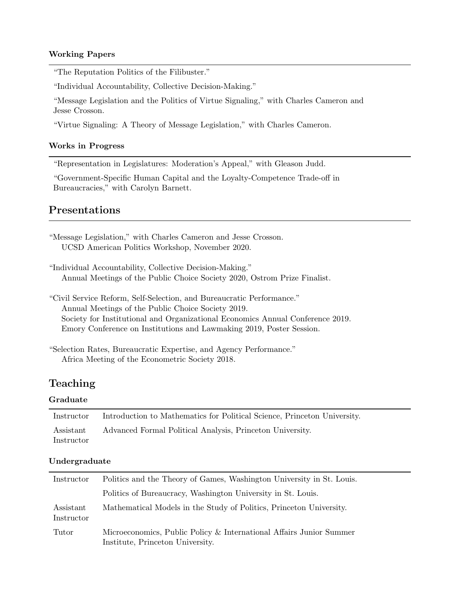### Working Papers

"The Reputation Politics of the Filibuster."

"Individual Accountability, Collective Decision-Making."

"Message Legislation and the Politics of Virtue Signaling," with Charles Cameron and Jesse Crosson.

"Virtue Signaling: A Theory of Message Legislation," with Charles Cameron.

#### Works in Progress

"Representation in Legislatures: Moderation's Appeal," with Gleason Judd.

"Government-Specific Human Capital and the Loyalty-Competence Trade-off in Bureaucracies," with Carolyn Barnett.

### Presentations

| "Message Legislation," with Charles Cameron and Jesse Crosson.<br>UCSD American Politics Workshop, November 2020.                     |
|---------------------------------------------------------------------------------------------------------------------------------------|
| "Individual Accountability, Collective Decision-Making."<br>Annual Meetings of the Public Choice Society 2020, Ostrom Prize Finalist. |
| "Civil Service Reform, Self-Selection, and Bureaucratic Performance."<br>Annual Meetings of the Public Choice Society 2019.           |

Society for Institutional and Organizational Economics Annual Conference 2019. Emory Conference on Institutions and Lawmaking 2019, Poster Session.

### Teaching

#### Graduate

| Instructor              | Introduction to Mathematics for Political Science, Princeton University. |
|-------------------------|--------------------------------------------------------------------------|
| Assistant<br>Instructor | Advanced Formal Political Analysis, Princeton University.                |

#### Undergraduate

| Instructor              | Politics and the Theory of Games, Washington University in St. Louis.                                   |  |  |
|-------------------------|---------------------------------------------------------------------------------------------------------|--|--|
|                         | Politics of Bureaucracy, Washington University in St. Louis.                                            |  |  |
| Assistant<br>Instructor | Mathematical Models in the Study of Politics, Princeton University.                                     |  |  |
| Tutor                   | Microeconomics, Public Policy & International Affairs Junior Summer<br>Institute, Princeton University. |  |  |

<sup>&</sup>quot;Selection Rates, Bureaucratic Expertise, and Agency Performance." Africa Meeting of the Econometric Society 2018.